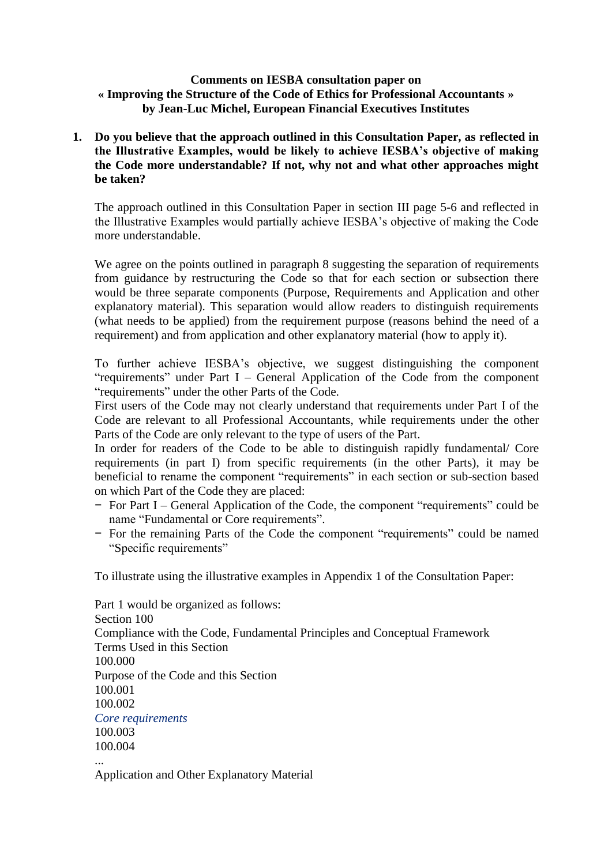### **Comments on IESBA consultation paper on « Improving the Structure of the Code of Ethics for Professional Accountants » by Jean-Luc Michel, European Financial Executives Institutes**

**1. Do you believe that the approach outlined in this Consultation Paper, as reflected in the Illustrative Examples, would be likely to achieve IESBA's objective of making the Code more understandable? If not, why not and what other approaches might be taken?**

The approach outlined in this Consultation Paper in section III page 5-6 and reflected in the Illustrative Examples would partially achieve IESBA's objective of making the Code more understandable.

We agree on the points outlined in paragraph 8 suggesting the separation of requirements from guidance by restructuring the Code so that for each section or subsection there would be three separate components (Purpose, Requirements and Application and other explanatory material). This separation would allow readers to distinguish requirements (what needs to be applied) from the requirement purpose (reasons behind the need of a requirement) and from application and other explanatory material (how to apply it).

To further achieve IESBA's objective, we suggest distinguishing the component "requirements" under Part I – General Application of the Code from the component "requirements" under the other Parts of the Code.

First users of the Code may not clearly understand that requirements under Part I of the Code are relevant to all Professional Accountants, while requirements under the other Parts of the Code are only relevant to the type of users of the Part.

In order for readers of the Code to be able to distinguish rapidly fundamental/ Core requirements (in part I) from specific requirements (in the other Parts), it may be beneficial to rename the component "requirements" in each section or sub-section based on which Part of the Code they are placed:

- − For Part I General Application of the Code, the component "requirements" could be name "Fundamental or Core requirements".
- − For the remaining Parts of the Code the component "requirements" could be named "Specific requirements"

To illustrate using the illustrative examples in Appendix 1 of the Consultation Paper:

Part 1 would be organized as follows: Section 100 Compliance with the Code, Fundamental Principles and Conceptual Framework Terms Used in this Section 100.000 Purpose of the Code and this Section 100.001 100.002 *Core requirements* 100.003 100.004 ... Application and Other Explanatory Material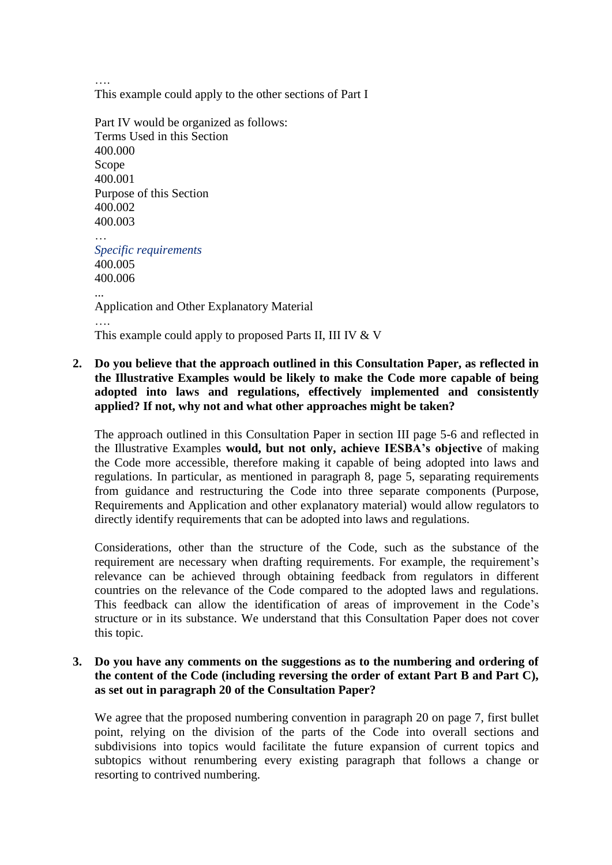…. This example could apply to the other sections of Part I

Part IV would be organized as follows: Terms Used in this Section 400.000 Scope 400.001 Purpose of this Section 400.002 400.003 *Specific requirements* 400.005 400.006 ... Application and Other Explanatory Material ….

This example could apply to proposed Parts II, III IV & V

### **2. Do you believe that the approach outlined in this Consultation Paper, as reflected in the Illustrative Examples would be likely to make the Code more capable of being adopted into laws and regulations, effectively implemented and consistently applied? If not, why not and what other approaches might be taken?**

The approach outlined in this Consultation Paper in section III page 5-6 and reflected in the Illustrative Examples **would, but not only, achieve IESBA's objective** of making the Code more accessible, therefore making it capable of being adopted into laws and regulations. In particular, as mentioned in paragraph 8, page 5, separating requirements from guidance and restructuring the Code into three separate components (Purpose, Requirements and Application and other explanatory material) would allow regulators to directly identify requirements that can be adopted into laws and regulations.

Considerations, other than the structure of the Code, such as the substance of the requirement are necessary when drafting requirements. For example, the requirement's relevance can be achieved through obtaining feedback from regulators in different countries on the relevance of the Code compared to the adopted laws and regulations. This feedback can allow the identification of areas of improvement in the Code's structure or in its substance. We understand that this Consultation Paper does not cover this topic.

#### **3. Do you have any comments on the suggestions as to the numbering and ordering of the content of the Code (including reversing the order of extant Part B and Part C), as set out in paragraph 20 of the Consultation Paper?**

We agree that the proposed numbering convention in paragraph 20 on page 7, first bullet point, relying on the division of the parts of the Code into overall sections and subdivisions into topics would facilitate the future expansion of current topics and subtopics without renumbering every existing paragraph that follows a change or resorting to contrived numbering.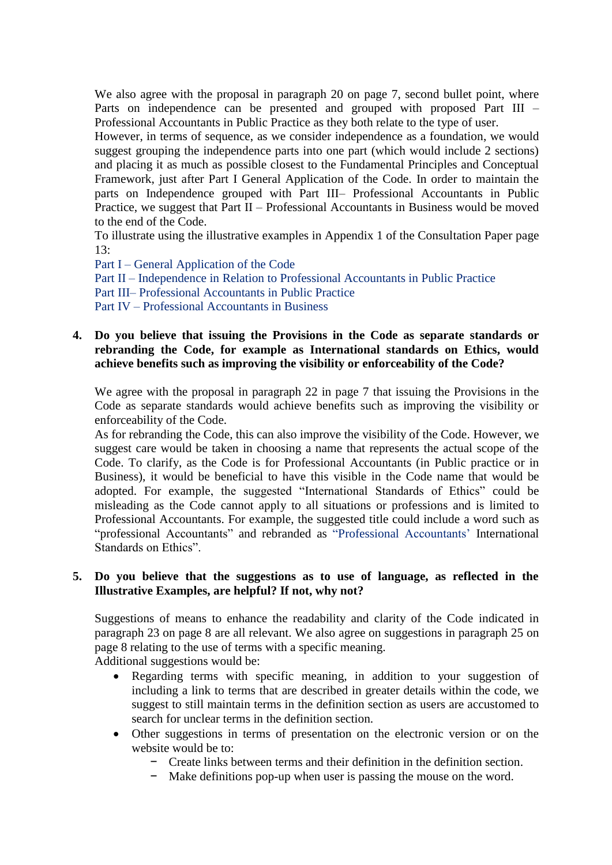We also agree with the proposal in paragraph 20 on page 7, second bullet point, where Parts on independence can be presented and grouped with proposed Part III – Professional Accountants in Public Practice as they both relate to the type of user.

However, in terms of sequence, as we consider independence as a foundation, we would suggest grouping the independence parts into one part (which would include 2 sections) and placing it as much as possible closest to the Fundamental Principles and Conceptual Framework, just after Part I General Application of the Code. In order to maintain the parts on Independence grouped with Part III– Professional Accountants in Public Practice, we suggest that Part II – Professional Accountants in Business would be moved to the end of the Code.

To illustrate using the illustrative examples in Appendix 1 of the Consultation Paper page 13:

Part I – General Application of the Code

Part II – Independence in Relation to Professional Accountants in Public Practice

Part III– Professional Accountants in Public Practice

Part IV – Professional Accountants in Business

#### **4. Do you believe that issuing the Provisions in the Code as separate standards or rebranding the Code, for example as International standards on Ethics, would achieve benefits such as improving the visibility or enforceability of the Code?**

We agree with the proposal in paragraph 22 in page 7 that issuing the Provisions in the Code as separate standards would achieve benefits such as improving the visibility or enforceability of the Code.

As for rebranding the Code, this can also improve the visibility of the Code. However, we suggest care would be taken in choosing a name that represents the actual scope of the Code. To clarify, as the Code is for Professional Accountants (in Public practice or in Business), it would be beneficial to have this visible in the Code name that would be adopted. For example, the suggested "International Standards of Ethics" could be misleading as the Code cannot apply to all situations or professions and is limited to Professional Accountants. For example, the suggested title could include a word such as "professional Accountants" and rebranded as "Professional Accountants' International Standards on Ethics".

### **5. Do you believe that the suggestions as to use of language, as reflected in the Illustrative Examples, are helpful? If not, why not?**

Suggestions of means to enhance the readability and clarity of the Code indicated in paragraph 23 on page 8 are all relevant. We also agree on suggestions in paragraph 25 on page 8 relating to the use of terms with a specific meaning.

Additional suggestions would be:

- Regarding terms with specific meaning, in addition to your suggestion of including a link to terms that are described in greater details within the code, we suggest to still maintain terms in the definition section as users are accustomed to search for unclear terms in the definition section.
- Other suggestions in terms of presentation on the electronic version or on the website would be to:
	- − Create links between terms and their definition in the definition section.
	- − Make definitions pop-up when user is passing the mouse on the word.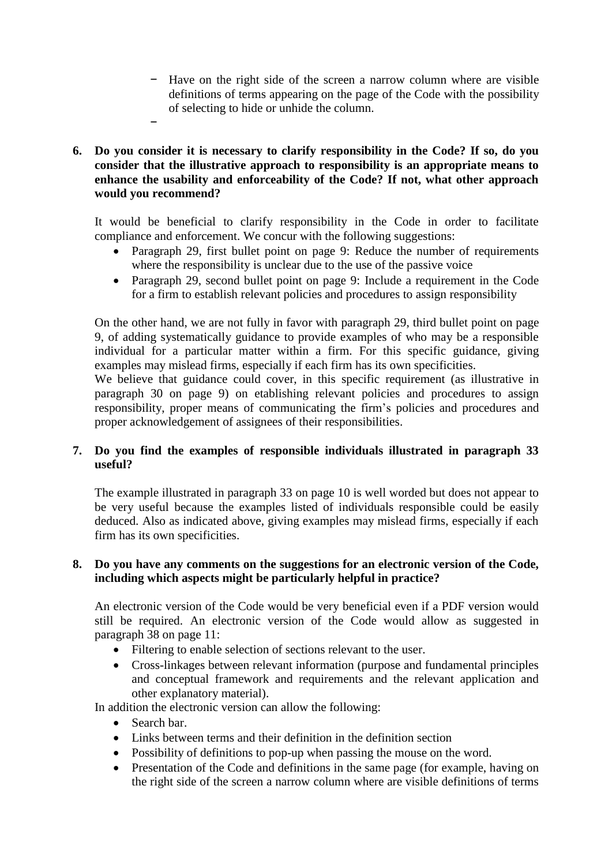- − Have on the right side of the screen a narrow column where are visible definitions of terms appearing on the page of the Code with the possibility of selecting to hide or unhide the column.
- −
- **6. Do you consider it is necessary to clarify responsibility in the Code? If so, do you consider that the illustrative approach to responsibility is an appropriate means to enhance the usability and enforceability of the Code? If not, what other approach would you recommend?**

It would be beneficial to clarify responsibility in the Code in order to facilitate compliance and enforcement. We concur with the following suggestions:

- Paragraph 29, first bullet point on page 9: Reduce the number of requirements where the responsibility is unclear due to the use of the passive voice
- Paragraph 29, second bullet point on page 9: Include a requirement in the Code for a firm to establish relevant policies and procedures to assign responsibility

On the other hand, we are not fully in favor with paragraph 29, third bullet point on page 9, of adding systematically guidance to provide examples of who may be a responsible individual for a particular matter within a firm. For this specific guidance, giving examples may mislead firms, especially if each firm has its own specificities.

We believe that guidance could cover, in this specific requirement (as illustrative in paragraph 30 on page 9) on etablishing relevant policies and procedures to assign responsibility, proper means of communicating the firm's policies and procedures and proper acknowledgement of assignees of their responsibilities.

# **7. Do you find the examples of responsible individuals illustrated in paragraph 33 useful?**

The example illustrated in paragraph 33 on page 10 is well worded but does not appear to be very useful because the examples listed of individuals responsible could be easily deduced. Also as indicated above, giving examples may mislead firms, especially if each firm has its own specificities.

## **8. Do you have any comments on the suggestions for an electronic version of the Code, including which aspects might be particularly helpful in practice?**

An electronic version of the Code would be very beneficial even if a PDF version would still be required. An electronic version of the Code would allow as suggested in paragraph 38 on page 11:

- Filtering to enable selection of sections relevant to the user.
- Cross-linkages between relevant information (purpose and fundamental principles and conceptual framework and requirements and the relevant application and other explanatory material).

In addition the electronic version can allow the following:

- Search bar.
- Links between terms and their definition in the definition section
- Possibility of definitions to pop-up when passing the mouse on the word.
- Presentation of the Code and definitions in the same page (for example, having on the right side of the screen a narrow column where are visible definitions of terms